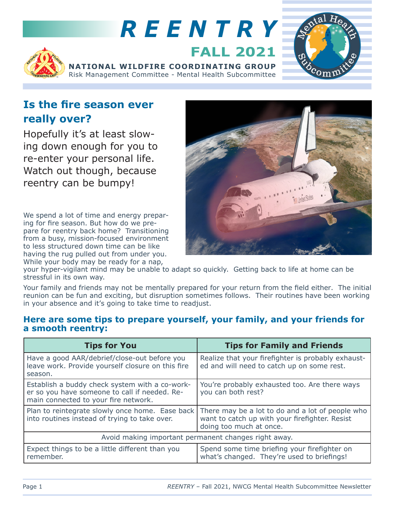

## **Is the fire season ever really over?**

Hopefully it's at least slowing down enough for you to re-enter your personal life. Watch out though, because reentry can be bumpy!

We spend a lot of time and energy preparing for fire season. But how do we prepare for reentry back home? Transitioning from a busy, mission-focused environment to less structured down time can be like having the rug pulled out from under you. While your body may be ready for a nap,



your hyper-vigilant mind may be unable to adapt so quickly. Getting back to life at home can be stressful in its own way.

Your family and friends may not be mentally prepared for your return from the field either. The initial reunion can be fun and exciting, but disruption sometimes follows. Their routines have been working in your absence and it's going to take time to readjust.

## **Here are some tips to prepare yourself, your family, and your friends for a smooth reentry:**

| <b>Tips for You</b>                                                                                                                     | <b>Tips for Family and Friends</b>                                                                                                                                            |
|-----------------------------------------------------------------------------------------------------------------------------------------|-------------------------------------------------------------------------------------------------------------------------------------------------------------------------------|
| Have a good AAR/debrief/close-out before you<br>leave work. Provide yourself closure on this fire<br>season.                            | Realize that your firefighter is probably exhaust-<br>ed and will need to catch up on some rest.                                                                              |
| Establish a buddy check system with a co-work-<br>er so you have someone to call if needed. Re-<br>main connected to your fire network. | You're probably exhausted too. Are there ways<br>you can both rest?                                                                                                           |
| into routines instead of trying to take over.                                                                                           | Plan to reintegrate slowly once home. Ease back There may be a lot to do and a lot of people who<br>want to catch up with your firefighter. Resist<br>doing too much at once. |
| Avoid making important permanent changes right away.                                                                                    |                                                                                                                                                                               |
| Expect things to be a little different than you<br>remember.                                                                            | Spend some time briefing your firefighter on<br>what's changed. They're used to briefings!                                                                                    |